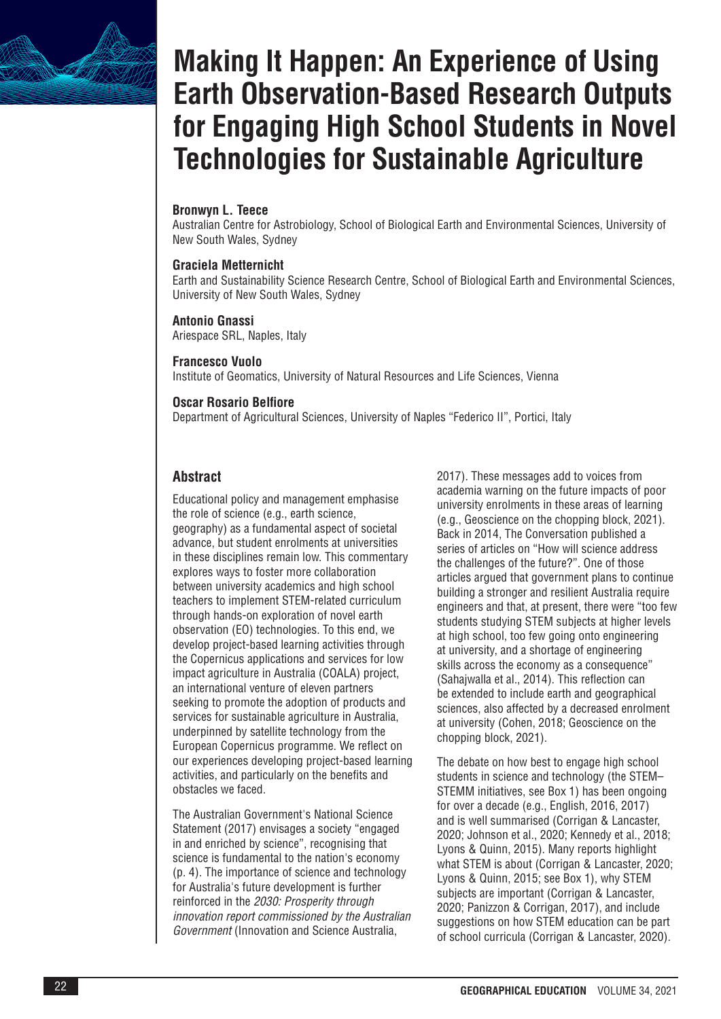

# **Making It Happen: An Experience of Using Earth Observation-Based Research Outputs for Engaging High School Students in Novel Technologies for Sustainable Agriculture**

#### **Bronwyn L. Teece**

Australian Centre for Astrobiology, School of Biological Earth and Environmental Sciences, University of New South Wales, Sydney

#### **Graciela Metternicht**

Earth and Sustainability Science Research Centre, School of Biological Earth and Environmental Sciences, University of New South Wales, Sydney

#### **Antonio Gnassi**

Ariespace SRL, Naples, Italy

#### **Francesco Vuolo**

Institute of Geomatics, University of Natural Resources and Life Sciences, Vienna

#### **Oscar Rosario Belfiore**

Department of Agricultural Sciences, University of Naples "Federico II", Portici, Italy

# **Abstract**

Educational policy and management emphasise the role of science (e.g., earth science, geography) as a fundamental aspect of societal advance, but student enrolments at universities in these disciplines remain low. This commentary explores ways to foster more collaboration between university academics and high school teachers to implement STEM-related curriculum through hands-on exploration of novel earth observation (EO) technologies. To this end, we develop project-based learning activities through the Copernicus applications and services for low impact agriculture in Australia (COALA) project, an international venture of eleven partners seeking to promote the adoption of products and services for sustainable agriculture in Australia, underpinned by satellite technology from the European Copernicus programme. We reflect on our experiences developing project-based learning activities, and particularly on the benefits and obstacles we faced.

The Australian Government's National Science Statement (2017) envisages a society "engaged in and enriched by science", recognising that science is fundamental to the nation's economy (p. 4). The importance of science and technology for Australia's future development is further reinforced in the *2030: Prosperity through innovation report commissioned by the Australian Government* (Innovation and Science Australia,

2017). These messages add to voices from academia warning on the future impacts of poor university enrolments in these areas of learning (e.g., Geoscience on the chopping block, 2021). Back in 2014, The Conversation published a series of articles on "How will science address the challenges of the future?". One of those articles argued that government plans to continue building a stronger and resilient Australia require engineers and that, at present, there were "too few students studying STEM subjects at higher levels at high school, too few going onto engineering at university, and a shortage of engineering skills across the economy as a consequence" (Sahajwalla et al., 2014). This reflection can be extended to include earth and geographical sciences, also affected by a decreased enrolment at university (Cohen, 2018; Geoscience on the chopping block, 2021).

The debate on how best to engage high school students in science and technology (the STEM– STEMM initiatives, see Box 1) has been ongoing for over a decade (e.g., English, 2016, 2017) and is well summarised (Corrigan & Lancaster, 2020; Johnson et al., 2020; Kennedy et al., 2018; Lyons & Quinn, 2015). Many reports highlight what STEM is about (Corrigan & Lancaster, 2020; Lyons & Quinn, 2015; see Box 1), why STEM subjects are important (Corrigan & Lancaster, 2020; Panizzon & Corrigan, 2017), and include suggestions on how STEM education can be part of school curricula (Corrigan & Lancaster, 2020).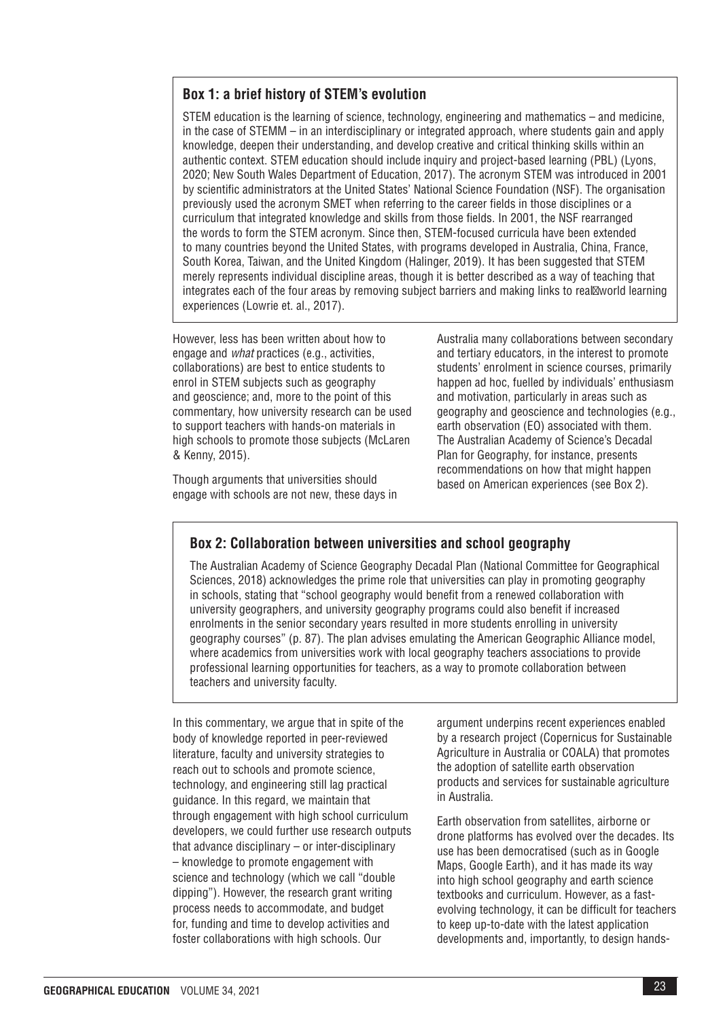## **Box 1: a brief history of STEM's evolution**

STEM education is the learning of science, technology, engineering and mathematics – and medicine, in the case of STEMM – in an interdisciplinary or integrated approach, where students gain and apply knowledge, deepen their understanding, and develop creative and critical thinking skills within an authentic context. STEM education should include inquiry and project-based learning (PBL) (Lyons, 2020; New South Wales Department of Education, 2017). The acronym STEM was introduced in 2001 by scientific administrators at the United States' National Science Foundation (NSF). The organisation previously used the acronym SMET when referring to the career fields in those disciplines or a curriculum that integrated knowledge and skills from those fields. In 2001, the NSF rearranged the words to form the STEM acronym. Since then, STEM-focused curricula have been extended to many countries beyond the United States, with programs developed in Australia, China, France, South Korea, Taiwan, and the United Kingdom (Halinger, 2019). It has been suggested that STEM merely represents individual discipline areas, though it is better described as a way of teaching that integrates each of the four areas by removing subject barriers and making links to real world learning experiences (Lowrie et. al., 2017).

However, less has been written about how to engage and *what* practices (e.g., activities, collaborations) are best to entice students to enrol in STEM subjects such as geography and geoscience; and, more to the point of this commentary, how university research can be used to support teachers with hands-on materials in high schools to promote those subjects (McLaren & Kenny, 2015).

Though arguments that universities should engage with schools are not new, these days in

Australia many collaborations between secondary and tertiary educators, in the interest to promote students' enrolment in science courses, primarily happen ad hoc, fuelled by individuals' enthusiasm and motivation, particularly in areas such as geography and geoscience and technologies (e.g., earth observation (EO) associated with them. The Australian Academy of Science's Decadal Plan for Geography, for instance, presents recommendations on how that might happen based on American experiences (see Box 2).

# **Box 2: Collaboration between universities and school geography**

The Australian Academy of Science Geography Decadal Plan (National Committee for Geographical Sciences, 2018) acknowledges the prime role that universities can play in promoting geography in schools, stating that "school geography would benefit from a renewed collaboration with university geographers, and university geography programs could also benefit if increased enrolments in the senior secondary years resulted in more students enrolling in university geography courses" (p. 87). The plan advises emulating the American Geographic Alliance model, where academics from universities work with local geography teachers associations to provide professional learning opportunities for teachers, as a way to promote collaboration between teachers and university faculty.

In this commentary, we argue that in spite of the body of knowledge reported in peer-reviewed literature, faculty and university strategies to reach out to schools and promote science, technology, and engineering still lag practical guidance. In this regard, we maintain that through engagement with high school curriculum developers, we could further use research outputs that advance disciplinary – or inter-disciplinary – knowledge to promote engagement with science and technology (which we call "double dipping"). However, the research grant writing process needs to accommodate, and budget for, funding and time to develop activities and foster collaborations with high schools. Our

argument underpins recent experiences enabled by a research project (Copernicus for Sustainable Agriculture in Australia or COALA) that promotes the adoption of satellite earth observation products and services for sustainable agriculture in Australia.

Earth observation from satellites, airborne or drone platforms has evolved over the decades. Its use has been democratised (such as in Google Maps, Google Earth), and it has made its way into high school geography and earth science textbooks and curriculum. However, as a fastevolving technology, it can be difficult for teachers to keep up-to-date with the latest application developments and, importantly, to design hands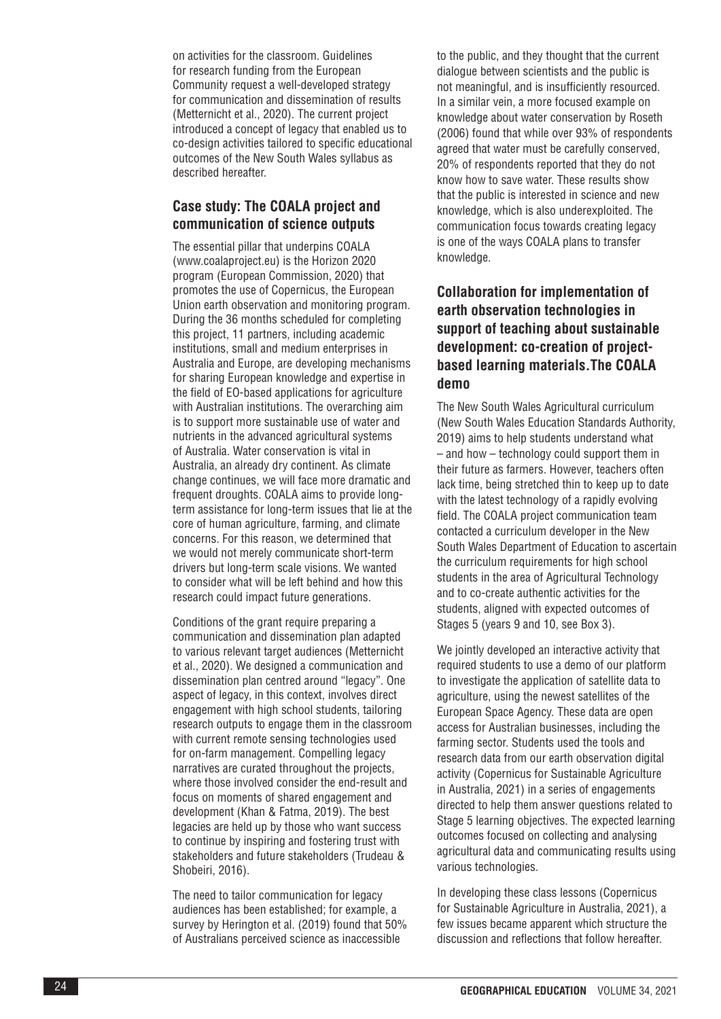on activities for the classroom. Guidelines for research funding from the European Community request a well-developed strategy for communication and dissemination of results (Metternicht et al., 2020). The current project introduced a concept of legacy that enabled us to co-design activities tailored to specific educational outcomes of the New South Wales syllabus as described hereafter.

## **Case study: The COALA project and communication of science outputs**

[The essential pillar tha](http://www.coalaproject.eu)t underpins COALA [\(www.coalaproject.eu\)](http://www.coalaproject.eu) is the Horizon 2020 program (European Commission, 2020) that promotes the use of Copernicus, the European Union earth observation and monitoring program. During the 36 months scheduled for completing this project, 11 partners, including academic institutions, small and medium enterprises in Australia and Europe, are developing mechanisms for sharing European knowledge and expertise in the field of EO-based applications for agriculture with Australian institutions. The overarching aim is to support more sustainable use of water and nutrients in the advanced agricultural systems of Australia. Water conservation is vital in Australia, an already dry continent. As climate change continues, we will face more dramatic and frequent droughts. COALA aims to provide longterm assistance for long-term issues that lie at the core of human agriculture, farming, and climate concerns. For this reason, we determined that we would not merely communicate short-term drivers but long-term scale visions. We wanted to consider what will be left behind and how this research could impact future generations.

Conditions of the grant require preparing a communication and dissemination plan adapted to various relevant target audiences (Metternicht et al., 2020). We designed a communication and dissemination plan centred around "legacy". One aspect of legacy, in this context, involves direct engagement with high school students, tailoring research outputs to engage them in the classroom with current remote sensing technologies used for on-farm management. Compelling legacy narratives are curated throughout the projects, where those involved consider the end-result and focus on moments of shared engagement and development (Khan & Fatma, 2019). The best legacies are held up by those who want success to continue by inspiring and fostering trust with stakeholders and future stakeholders (Trudeau & Shobeiri, 2016).

The need to tailor communication for legacy audiences has been established; for example, a survey by Herington et al. (2019) found that 50% of Australians perceived science as inaccessible

to the public, and they thought that the current dialogue between scientists and the public is not meaningful, and is insufficiently resourced. In a similar vein, a more focused example on knowledge about water conservation by Roseth (2006) found that while over 93% of respondents agreed that water must be carefully conserved, 20% of respondents reported that they do not know how to save water. These results show that the public is interested in science and new knowledge, which is also underexploited. The communication focus towards creating legacy is one of the ways COALA plans to transfer knowledge.

# **Collaboration for implementation of earth observation technologies in support of teaching about sustainable development: co-creation of projectbased learning materials.The COALA demo**

The New South Wales Agricultural curriculum (New South Wales Education Standards Authority, 2019) aims to help students understand what – and how – technology could support them in their future as farmers. However, teachers often lack time, being stretched thin to keep up to date with the latest technology of a rapidly evolving field. The COALA project communication team contacted a curriculum developer in the New South Wales Department of Education to ascertain the curriculum requirements for high school students in the area of Agricultural Technology and to co-create authentic activities for the students, aligned with expected outcomes of Stages 5 (years 9 and 10, see Box 3).

We jointly developed an interactive activity that required students to use a demo of our platform to investigate the application of satellite data to agriculture, using the newest satellites of the European Space Agency. These data are open access for Australian businesses, including the farming sector. Students used the tools and research data from our earth observation digital activity (Copernicus for Sustainable Agriculture in Australia, 2021) in a series of engagements directed to help them answer questions related to Stage 5 learning objectives. The expected learning outcomes focused on collecting and analysing agricultural data and communicating results using various technologies.

In developing these class lessons (Copernicus for Sustainable Agriculture in Australia, 2021), a few issues became apparent which structure the discussion and reflections that follow hereafter.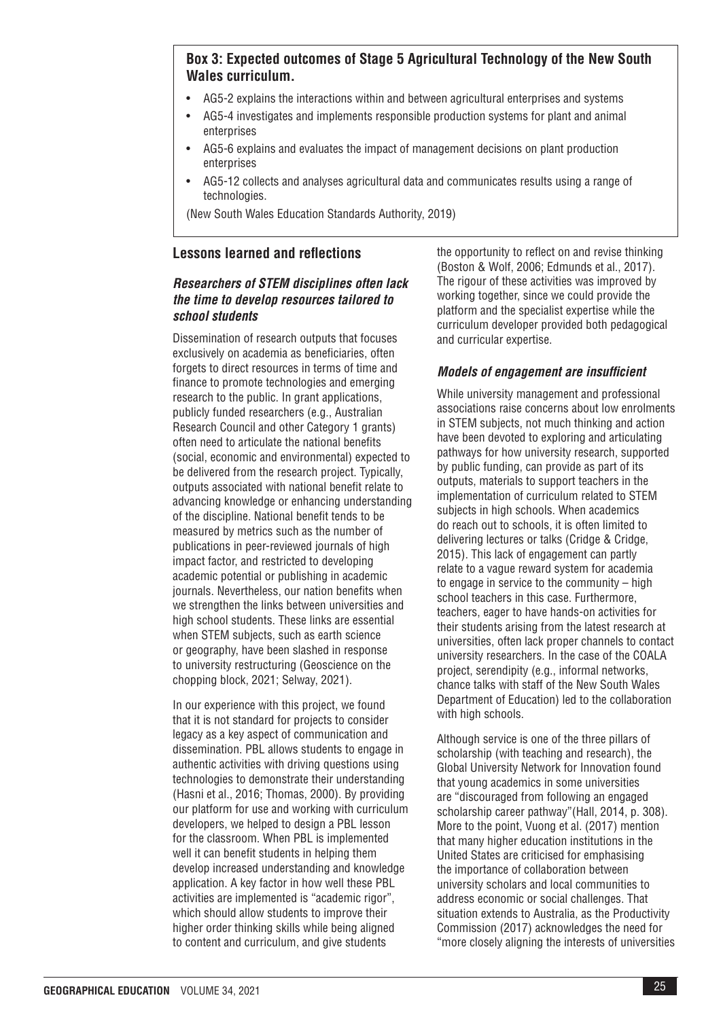# **Box 3: Expected outcomes of Stage 5 Agricultural Technology of the New South Wales curriculum.**

- AG5-2 explains the interactions within and between agricultural enterprises and systems
- AG5-4 investigates and implements responsible production systems for plant and animal enterprises
- AG5-6 explains and evaluates the impact of management decisions on plant production enterprises
- AG5-12 collects and analyses agricultural data and communicates results using a range of technologies.

(New South Wales Education Standards Authority, 2019)

## **Lessons learned and reflections**

## *Researchers of STEM disciplines often lack the time to develop resources tailored to school students*

Dissemination of research outputs that focuses exclusively on academia as beneficiaries, often forgets to direct resources in terms of time and finance to promote technologies and emerging research to the public. In grant applications, publicly funded researchers (e.g., Australian Research Council and other Category 1 grants) often need to articulate the national benefits (social, economic and environmental) expected to be delivered from the research project. Typically, outputs associated with national benefit relate to advancing knowledge or enhancing understanding of the discipline. National benefit tends to be measured by metrics such as the number of publications in peer-reviewed journals of high impact factor, and restricted to developing academic potential or publishing in academic journals. Nevertheless, our nation benefits when we strengthen the links between universities and high school students. These links are essential when STEM subjects, such as earth science or geography, have been slashed in response to university restructuring (Geoscience on the chopping block, 2021; Selway, 2021).

In our experience with this project, we found that it is not standard for projects to consider legacy as a key aspect of communication and dissemination. PBL allows students to engage in authentic activities with driving questions using technologies to demonstrate their understanding (Hasni et al., 2016; Thomas, 2000). By providing our platform for use and working with curriculum developers, we helped to design a PBL lesson for the classroom. When PBL is implemented well it can benefit students in helping them develop increased understanding and knowledge application. A key factor in how well these PBL activities are implemented is "academic rigor", which should allow students to improve their higher order thinking skills while being aligned to content and curriculum, and give students

the opportunity to reflect on and revise thinking (Boston & Wolf, 2006; Edmunds et al., 2017). The rigour of these activities was improved by working together, since we could provide the platform and the specialist expertise while the curriculum developer provided both pedagogical and curricular expertise.

## *Models of engagement are insufficient*

While university management and professional associations raise concerns about low enrolments in STEM subjects, not much thinking and action have been devoted to exploring and articulating pathways for how university research, supported by public funding, can provide as part of its outputs, materials to support teachers in the implementation of curriculum related to STEM subjects in high schools. When academics do reach out to schools, it is often limited to delivering lectures or talks (Cridge & Cridge, 2015). This lack of engagement can partly relate to a vague reward system for academia to engage in service to the community – high school teachers in this case. Furthermore, teachers, eager to have hands-on activities for their students arising from the latest research at universities, often lack proper channels to contact university researchers. In the case of the COALA project, serendipity (e.g., informal networks, chance talks with staff of the New South Wales Department of Education) led to the collaboration with high schools.

Although service is one of the three pillars of scholarship (with teaching and research), the Global University Network for Innovation found that young academics in some universities are "discouraged from following an engaged scholarship career pathway"(Hall, 2014, p. 308). More to the point, Vuong et al. (2017) mention that many higher education institutions in the United States are criticised for emphasising the importance of collaboration between university scholars and local communities to address economic or social challenges. That situation extends to Australia, as the Productivity Commission (2017) acknowledges the need for "more closely aligning the interests of universities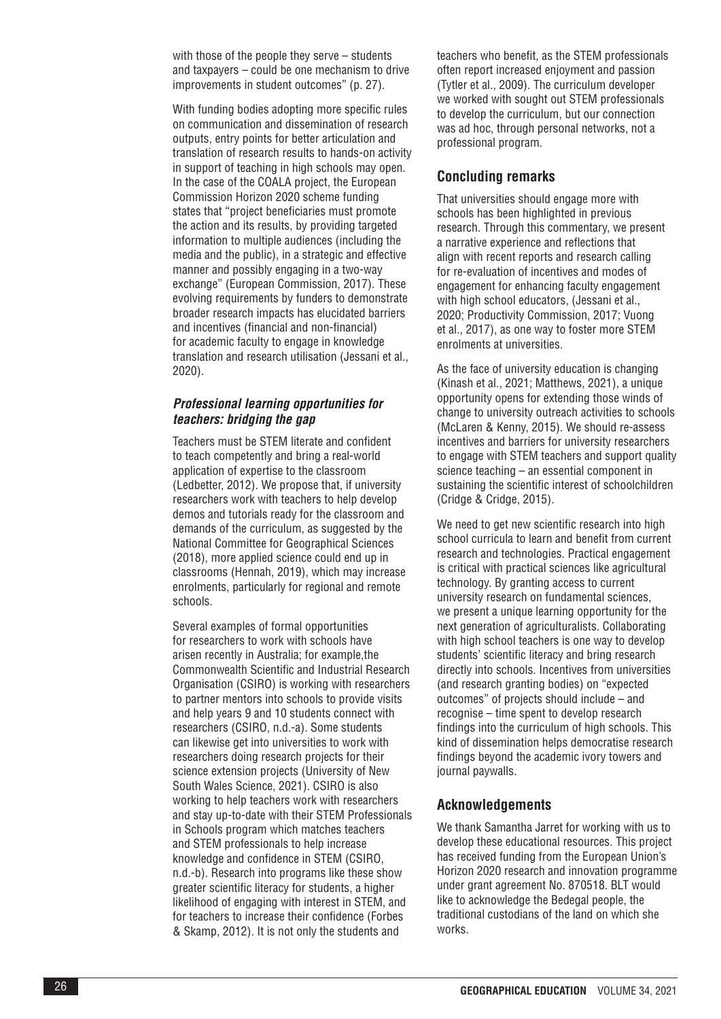with those of the people they serve – students and taxpayers – could be one mechanism to drive improvements in student outcomes" (p. 27).

With funding bodies adopting more specific rules on communication and dissemination of research outputs, entry points for better articulation and translation of research results to hands-on activity in support of teaching in high schools may open. In the case of the COALA project, the European Commission Horizon 2020 scheme funding states that "project beneficiaries must promote the action and its results, by providing targeted information to multiple audiences (including the media and the public), in a strategic and effective manner and possibly engaging in a two-way exchange" (European Commission, 2017). These evolving requirements by funders to demonstrate broader research impacts has elucidated barriers and incentives (financial and non-financial) for academic faculty to engage in knowledge translation and research utilisation (Jessani et al., 2020).

#### *Professional learning opportunities for teachers: bridging the gap*

Teachers must be STEM literate and confident to teach competently and bring a real-world application of expertise to the classroom (Ledbetter, 2012). We propose that, if university researchers work with teachers to help develop demos and tutorials ready for the classroom and demands of the curriculum, as suggested by the National Committee for Geographical Sciences (2018), more applied science could end up in classrooms (Hennah, 2019), which may increase enrolments, particularly for regional and remote schools.

Several examples of formal opportunities for researchers to work with schools have arisen recently in Australia; for example,the Commonwealth Scientific and Industrial Research Organisation (CSIRO) is working with researchers to partner mentors into schools to provide visits and help years 9 and 10 students connect with researchers (CSIRO, n.d.-a). Some students can likewise get into universities to work with researchers doing research projects for their science extension projects (University of New South Wales Science, 2021). CSIRO is also working to help teachers work with researchers and stay up-to-date with their STEM Professionals in Schools program which matches teachers and STEM professionals to help increase knowledge and confidence in STEM (CSIRO, n.d.-b). Research into programs like these show greater scientific literacy for students, a higher likelihood of engaging with interest in STEM, and for teachers to increase their confidence (Forbes & Skamp, 2012). It is not only the students and

teachers who benefit, as the STEM professionals often report increased enjoyment and passion (Tytler et al., 2009). The curriculum developer we worked with sought out STEM professionals to develop the curriculum, but our connection was ad hoc, through personal networks, not a professional program.

## **Concluding remarks**

That universities should engage more with schools has been highlighted in previous research. Through this commentary, we present a narrative experience and reflections that align with recent reports and research calling for re-evaluation of incentives and modes of engagement for enhancing faculty engagement with high school educators, (Jessani et al., 2020; Productivity Commission, 2017; Vuong et al., 2017), as one way to foster more STEM enrolments at universities.

As the face of university education is changing (Kinash et al., 2021; Matthews, 2021), a unique opportunity opens for extending those winds of change to university outreach activities to schools (McLaren & Kenny, 2015). We should re-assess incentives and barriers for university researchers to engage with STEM teachers and support quality science teaching – an essential component in sustaining the scientific interest of schoolchildren (Cridge & Cridge, 2015).

We need to get new scientific research into high school curricula to learn and benefit from current research and technologies. Practical engagement is critical with practical sciences like agricultural technology. By granting access to current university research on fundamental sciences, we present a unique learning opportunity for the next generation of agriculturalists. Collaborating with high school teachers is one way to develop students' scientific literacy and bring research directly into schools. Incentives from universities (and research granting bodies) on "expected outcomes" of projects should include – and recognise – time spent to develop research findings into the curriculum of high schools. This kind of dissemination helps democratise research findings beyond the academic ivory towers and journal paywalls.

# **Acknowledgements**

We thank Samantha Jarret for working with us to develop these educational resources. This project has received funding from the European Union's Horizon 2020 research and innovation programme under grant agreement No. 870518. BLT would like to acknowledge the Bedegal people, the traditional custodians of the land on which she works.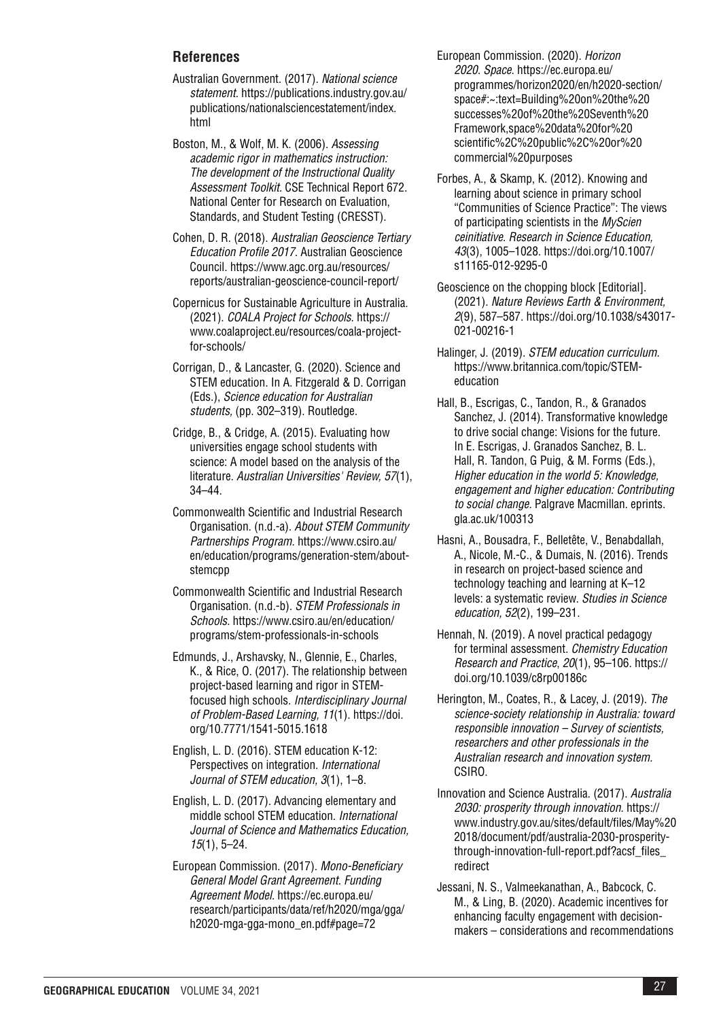### **References**

- Australian Government. (2017). *National science statement.* [https://publications.industry.gov.au/](https://publications.industry.gov.au/publications/nationalsciencestatement/index.html) [publications/nationalsciencestatement/index.](https://publications.industry.gov.au/publications/nationalsciencestatement/index.html) [html](https://publications.industry.gov.au/publications/nationalsciencestatement/index.html)
- Boston, M., & Wolf, M. K. (2006). *Assessing academic rigor in mathematics instruction: The development of the Instructional Quality Assessment Toolkit.* CSE Technical Report 672. National Center for Research on Evaluation, Standards, and Student Testing (CRESST).
- Cohen, D. R. (2018). *Australian Geoscience Tertiary Education Profile 2017*. Australian Geoscience Council. [https://www.agc.org.au/resources/](https://www.agc.org.au/resources/reports/australian-geoscience-council-report/) [reports/australian-geoscience-council-report/](https://www.agc.org.au/resources/reports/australian-geoscience-council-report/)
- Copernicus for Sustainable Agriculture in Australia. (2021). *COALA Project for Schools*. [https://](https://www.coalaproject.eu/resources/coala-project-for-schools/) [www.coalaproject.eu/resources/coala-project](https://www.coalaproject.eu/resources/coala-project-for-schools/)[for-schools/](https://www.coalaproject.eu/resources/coala-project-for-schools/)
- Corrigan, D., & Lancaster, G. (2020). Science and STEM education. In A. Fitzgerald & D. Corrigan (Eds.), *Science education for Australian students,* (pp. 302–319). Routledge.
- Cridge, B., & Cridge, A. (2015). Evaluating how universities engage school students with science: A model based on the analysis of the literature. *Australian Universities' Review, 57*(1), 34–44.
- Commonwealth Scientific and Industrial Research Organisation. (n.d.-a). *About STEM Community Partnerships Program.* [https://www.csiro.au/](https://www.csiro.au/en/education/programs/generation-stem/about-stemcpp) [en/education/programs/generation-stem/about](https://www.csiro.au/en/education/programs/generation-stem/about-stemcpp)[stemcpp](https://www.csiro.au/en/education/programs/generation-stem/about-stemcpp)
- Commonwealth Scientific and Industrial Research Organisation. (n.d.-b). *STEM Professionals in Schools.* [https://www.csiro.au/en/education/](https://www.csiro.au/en/education/programs/stem-professionals-in-schools) [programs/stem-professionals-in-schools](https://www.csiro.au/en/education/programs/stem-professionals-in-schools)
- Edmunds, J., Arshavsky, N., Glennie, E., Charles, K., & Rice, O. (2017). The relationship between project-based learning and rigor in STEMfocused high schools. *Interdisciplinary Journal of Problem-Based Learning, 11*(1). [https://doi.](https://doi.org/10.7771/1541-5015.1618) [org/10.7771/1541-5015.1618](https://doi.org/10.7771/1541-5015.1618)
- English, L. D. (2016). STEM education K-12: Perspectives on integration. *International Journal of STEM education, 3*(1), 1–8.
- English, L. D. (2017). Advancing elementary and middle school STEM education. *International Journal of Science and Mathematics Education, 15*(1), 5–24.
- European Commission. (2017). *Mono-Beneficiary General Model Grant Agreement. Funding Agreement Model.* [https://ec.europa.eu/](https://ec.europa.eu/research/participants/data/ref/h2020/mga/gga/h2020-mga-gga-mono_en.pdf#page=72
) [research/participants/data/ref/h2020/mga/gga/](https://ec.europa.eu/research/participants/data/ref/h2020/mga/gga/h2020-mga-gga-mono_en.pdf#page=72
) [h2020-mga-gga-mono\\_en.pdf#page=72](https://ec.europa.eu/research/participants/data/ref/h2020/mga/gga/h2020-mga-gga-mono_en.pdf#page=72
)
- European Commission. (2020). *Horizon 2020. Space*. [https://ec.europa.eu/](https://ec.europa.eu/programmes/horizon2020/en/h2020-section/space#:~:text=Building%20on%20the%20successes%20of%20the%20Seventh%20Framework,space%20data%20for%20scientific%2C%20public%2C%20or%20commercial%20purposes) [programmes/horizon2020/en/h2020-section/](https://ec.europa.eu/programmes/horizon2020/en/h2020-section/space#:~:text=Building%20on%20the%20successes%20of%20the%20Seventh%20Framework,space%20data%20for%20scientific%2C%20public%2C%20or%20commercial%20purposes) [space#:~:text=Building%20on%20the%20](https://ec.europa.eu/programmes/horizon2020/en/h2020-section/space#:~:text=Building%20on%20the%20successes%20of%20the%20Seventh%20Framework,space%20data%20for%20scientific%2C%20public%2C%20or%20commercial%20purposes) [successes%20of%20the%20Seventh%20](https://ec.europa.eu/programmes/horizon2020/en/h2020-section/space#:~:text=Building%20on%20the%20successes%20of%20the%20Seventh%20Framework,space%20data%20for%20scientific%2C%20public%2C%20or%20commercial%20purposes) [Framework,space%20data%20for%20](https://ec.europa.eu/programmes/horizon2020/en/h2020-section/space#:~:text=Building%20on%20the%20successes%20of%20the%20Seventh%20Framework,space%20data%20for%20scientific%2C%20public%2C%20or%20commercial%20purposes) [scientific%2C%20public%2C%20or%20](https://ec.europa.eu/programmes/horizon2020/en/h2020-section/space#:~:text=Building%20on%20the%20successes%20of%20the%20Seventh%20Framework,space%20data%20for%20scientific%2C%20public%2C%20or%20commercial%20purposes) [commercial%20purposes](https://ec.europa.eu/programmes/horizon2020/en/h2020-section/space#:~:text=Building%20on%20the%20successes%20of%20the%20Seventh%20Framework,space%20data%20for%20scientific%2C%20public%2C%20or%20commercial%20purposes)
- Forbes, A., & Skamp, K. (2012). Knowing and learning about science in primary school "Communities of Science Practice": The views of participating scientists in the *MyScien ceinitiative. Research in Science Education, 43*(3), 1005–1028. [https://doi.org/10.1007/](https://doi.org/10.1007/s11165-012-9295-0) [s11165-012-9295-0](https://doi.org/10.1007/s11165-012-9295-0)
- Geoscience on the chopping block [Editorial]. (2021). *Nature Reviews Earth & Environment, 2*(9), 587–587. [https://doi.org/10.1038/s43017-](https://doi.org/10.1038/s43017-021-00216-1) [021-00216-1](https://doi.org/10.1038/s43017-021-00216-1)
- Halinger, J. (2019). *STEM education curriculum.* [https://www.britannica.com/topic/STEM](https://www.britannica.com/topic/STEM-education)[education](https://www.britannica.com/topic/STEM-education)
- Hall, B., Escrigas, C., Tandon, R., & Granados Sanchez, J. (2014). Transformative knowledge to drive social change: Visions for the future. In E. Escrigas, J. Granados Sanchez, B. L. Hall, R. Tandon, G Puig, & M. Forms (Eds.), *Higher education in the world 5: Knowledge, engagement and higher education: Contributing to social change.* Palgrave Macmillan. eprints. gla.ac.uk/100313
- Hasni, A., Bousadra, F., Belletête, V., Benabdallah, A., Nicole, M.-C., & Dumais, N. (2016). Trends in research on project-based science and technology teaching and learning at K–12 levels: a systematic review. *Studies in Science education, 52*(2), 199–231.
- Hennah, N. (2019). A novel practical pedagogy for terminal assessment. *Chemistry Education Research and Practice*, *20*(1), 95–106. [https://](https://doi.org/10.1039/c8rp00186c
) [doi.org/10.1039/c8rp00186c](https://doi.org/10.1039/c8rp00186c
)
- Herington, M., Coates, R., & Lacey, J. (2019). *The science-society relationship in Australia: toward responsible innovation – Survey of scientists, researchers and other professionals in the Australian research and innovation system.*  CSIRO.
- Innovation and Science Australia. (2017). *Australia 2030: prosperity through innovation.* [https://](https://www.industry.gov.au/sites/default/files/May%202018/document/pdf/australia-2030-prosperity-through-innovation-full-report.pdf?acsf_files_redirect) [www.industry.gov.au/sites/default/files/May%20](https://www.industry.gov.au/sites/default/files/May%202018/document/pdf/australia-2030-prosperity-through-innovation-full-report.pdf?acsf_files_redirect) [2018/document/pdf/australia-2030-prosperity](https://www.industry.gov.au/sites/default/files/May%202018/document/pdf/australia-2030-prosperity-through-innovation-full-report.pdf?acsf_files_redirect)[through-innovation-full-report.pdf?acsf\\_files\\_](https://www.industry.gov.au/sites/default/files/May%202018/document/pdf/australia-2030-prosperity-through-innovation-full-report.pdf?acsf_files_redirect) [redirect](https://www.industry.gov.au/sites/default/files/May%202018/document/pdf/australia-2030-prosperity-through-innovation-full-report.pdf?acsf_files_redirect)
- Jessani, N. S., Valmeekanathan, A., Babcock, C. M., & Ling, B. (2020). Academic incentives for enhancing faculty engagement with decisionmakers – considerations and recommendations